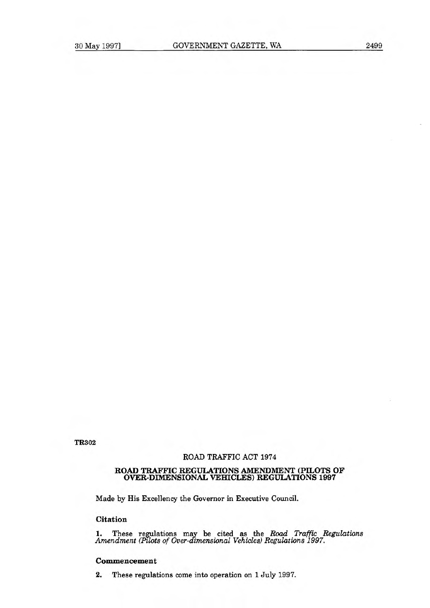$TR302$ 

### **ROAD TRAFFIC ACT 1974**

#### **ROAD TRAFFIC REGULATIONS AMENDMENT (PILOTS OF OVER-DIMENSIONAL VEHICLES) REGULATIONS 1997**

**Made by His Excellency the Governor in Executive Council.** 

# **Citation**

**1. These regulations may be cited as the** *Road Traffic Regulations Amendment (Pilots of Over-dimensional Vehicles) Regulations 1997.* 

## **Commencement**

**2. These regulations come into operation on 1 July 1997.**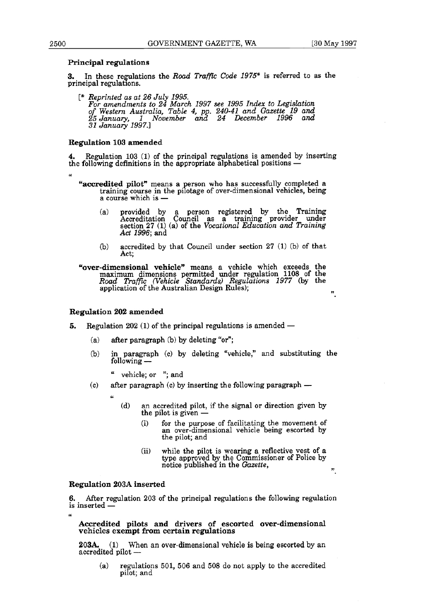".

## **Principal regulations**

3. In these regulations the *Road Traffic Code 1975\** is referred to as the principal regulations.

[\* *Reprinted as at 26 July 1995. For amendments to 24 March 1997 see 1995 Index to Legislation of Western Australia, Table 4, pp. 240-41 and Gazette 19 and 25 January, 1 November and 24 December 1996 and 31 January 1997.1* 

# **Regulation 103 amended**

**4.** Regulation 103 (1) of the principal regulations is amended by inserting the following definitions in the appropriate alphabetical positions —

- **"accredited** pilot" means a person who has successfully completed a training course in the pilotage of over-dimensional vehicles, being a course which is  $-$ 
	- (a) provided by a person registered by the Training Accreditation Council as a training provider under section 27 (1) (a) of the *Vocational Education and Training Act 1996;* and
	- (b) accredited by that Council under section 27 (1) (b) of that Act;

**"over-dimensional vehicle"** means a vehicle which exceeds the maximum dimensions permitted under regulation 1108 of the *Road Traffzc (Vehicle Standards) Regulations 1977* (by the application of the Australian Design Rules);

### **Regulation 202 amended**

- **5.** Regulation 202 (1) of the principal regulations is amended -
	- (a) after paragraph (b) by deleting "or";
	- (b) in paragraph (c) by deleting "vehicle," and substituting the following -
		- " vehicle; or ";and
	- (c) after paragraph (c) by inserting the following paragraph  $$ 
		- a
			- (d) an accredited pilot, if the signal or direction given by the pilot is given -
				- (i) for the purpose of facilitating the movement of an over-dimensional vehicle being escorted by the pilot; and
				- (ii) while the pilot is wearing a reflective vest of a type approved by the Commissioner of Police by notice published in the *Gazette,*

### Regulation 203A inserted

 $\overline{u}$ 

6. After regulation 203 of the principal regulations the following regulation is inserted -

# **Accredited pilots and drivers of escorted over-dimensional vehicles exempt from certain regulations**

**203A.** (1) When an over-dimensional vehicle is being escorted by an accredited pilot -

(a) regulations 501, 506 and 508 do not apply to the accredited pilot; and

a